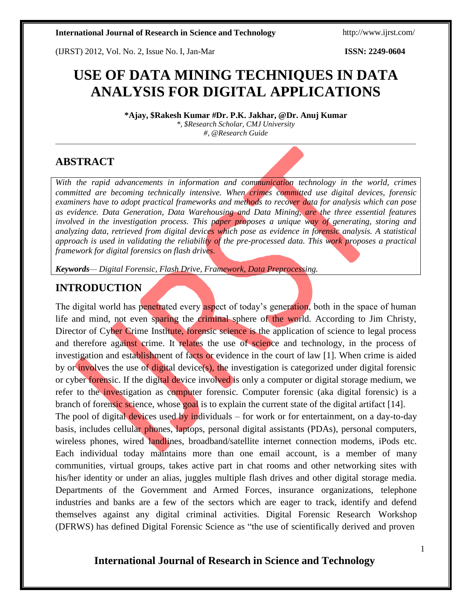# **USE OF DATA MINING TECHNIQUES IN DATA ANALYSIS FOR DIGITAL APPLICATIONS**

**\*Ajay, \$Rakesh Kumar #Dr. P.K. Jakhar, @Dr. Anuj Kumar** *\*, \$Research Scholar, CMJ University*

*#, @Research Guide*

## **ABSTRACT**

*With the rapid advancements in information and communication technology in the world, crimes committed are becoming technically intensive. When crimes committed use digital devices, forensic examiners have to adopt practical frameworks and methods to recover data for analysis which can pose as evidence. Data Generation, Data Warehousing and Data Mining, are the three essential features involved in the investigation process. This paper proposes a unique way of generating, storing and analyzing data, retrieved from digital devices which pose as evidence in forensic analysis. A statistical approach is used in validating the reliability of the pre-processed data. This work proposes a practical framework for digital forensics on flash drives.*

*Keywords— Digital Forensic, Flash Drive, Framework, Data Preprocessing.*

## **INTRODUCTION**

The digital world has penetrated every aspect of today's generation, both in the space of human life and mind, not even sparing the criminal sphere of the world. According to Jim Christy, Director of Cyber Crime Institute, forensic science is the application of science to legal process and therefore against crime. It relates the use of science and technology, in the process of investigation and establishment of facts or evidence in the court of law [1]. When crime is aided by or involves the use of digital device(s), the investigation is categorized under digital forensic or cyber forensic. If the digital device involved is only a computer or digital storage medium, we refer to the investigation as computer forensic. Computer forensic (aka digital forensic) is a branch of forensic science, whose goal is to explain the current state of the digital artifact [14].

The pool of digital devices used by individuals – for work or for entertainment, on a day-to-day basis, includes cellular phones, laptops, personal digital assistants (PDAs), personal computers, wireless phones, wired landlines, broadband/satellite internet connection modems, iPods etc. Each individual today maintains more than one email account, is a member of many communities, virtual groups, takes active part in chat rooms and other networking sites with his/her identity or under an alias, juggles multiple flash drives and other digital storage media. Departments of the Government and Armed Forces, insurance organizations, telephone industries and banks are a few of the sectors which are eager to track, identify and defend themselves against any digital criminal activities. Digital Forensic Research Workshop (DFRWS) has defined Digital Forensic Science as "the use of scientifically derived and proven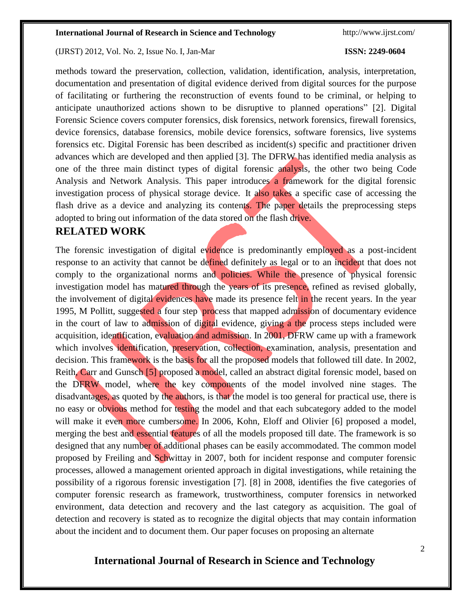#### (IJRST) 2012, Vol. No. 2, Issue No. I, Jan-Mar **ISSN: 2249-0604**

methods toward the preservation, collection, validation, identification, analysis, interpretation, documentation and presentation of digital evidence derived from digital sources for the purpose of facilitating or furthering the reconstruction of events found to be criminal, or helping to anticipate unauthorized actions shown to be disruptive to planned operations" [2]. Digital Forensic Science covers computer forensics, disk forensics, network forensics, firewall forensics, device forensics, database forensics, mobile device forensics, software forensics, live systems forensics etc. Digital Forensic has been described as incident(s) specific and practitioner driven advances which are developed and then applied [3]. The DFRW has identified media analysis as one of the three main distinct types of digital forensic analysis, the other two being Code Analysis and Network Analysis. This paper introduces a framework for the digital forensic investigation process of physical storage device. It also takes a specific case of accessing the flash drive as a device and analyzing its contents. The paper details the preprocessing steps adopted to bring out information of the data stored on the flash drive.

### **RELATED WORK**

The forensic investigation of digital evidence is predominantly employed as a post-incident response to an activity that cannot be defined definitely as legal or to an incident that does not comply to the organizational norms and policies. While the presence of physical forensic investigation model has matured through the years of its presence, refined as revised globally, the involvement of digital evidences have made its presence felt in the recent years. In the year 1995, M Pollitt, suggested a four step process that mapped admission of documentary evidence in the court of law to admission of digital evidence, giving a the process steps included were acquisition, identification, evaluation and admission. In 2001, DFRW came up with a framework which involves identification, preservation, collection, examination, analysis, presentation and decision. This framework is the basis for all the proposed models that followed till date. In 2002, Reith, Carr and Gunsch [5] proposed a model, called an abstract digital forensic model, based on the DFRW model, where the key components of the model involved nine stages. The disadvantages, as quoted by the authors, is that the model is too general for practical use, there is no easy or obvious method for testing the model and that each subcategory added to the model will make it even more cumbersome. In 2006, Kohn, Eloff and Olivier [6] proposed a model, merging the best and essential features of all the models proposed till date. The framework is so designed that any number of additional phases can be easily accommodated. The common model proposed by Freiling and Schwittay in 2007, both for incident response and computer forensic processes, allowed a management oriented approach in digital investigations, while retaining the possibility of a rigorous forensic investigation [7]. [8] in 2008, identifies the five categories of computer forensic research as framework, trustworthiness, computer forensics in networked environment, data detection and recovery and the last category as acquisition. The goal of detection and recovery is stated as to recognize the digital objects that may contain information about the incident and to document them. Our paper focuses on proposing an alternate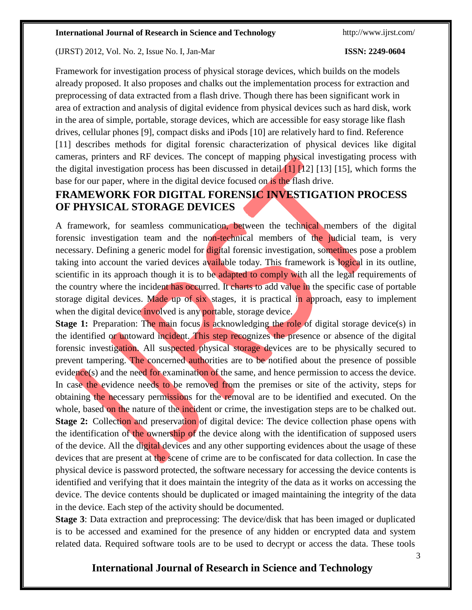#### (IJRST) 2012, Vol. No. 2, Issue No. I, Jan-Mar **ISSN: 2249-0604**

Framework for investigation process of physical storage devices, which builds on the models already proposed. It also proposes and chalks out the implementation process for extraction and preprocessing of data extracted from a flash drive. Though there has been significant work in area of extraction and analysis of digital evidence from physical devices such as hard disk, work in the area of simple, portable, storage devices, which are accessible for easy storage like flash drives, cellular phones [9], compact disks and iPods [10] are relatively hard to find. Reference [11] describes methods for digital forensic characterization of physical devices like digital cameras, printers and RF devices. The concept of mapping physical investigating process with the digital investigation process has been discussed in detail  $[1]$   $[12]$   $[13]$   $[15]$ , which forms the base for our paper, where in the digital device focused on is the flash drive.

## **FRAMEWORK FOR DIGITAL FORENSIC INVESTIGATION PROCESS OF PHYSICAL STORAGE DEVICES**

A framework, for seamless communication, between the technical members of the digital forensic investigation team and the non-technical members of the judicial team, is very necessary. Defining a generic model for digital forensic investigation, sometimes pose a problem taking into account the varied devices available today. This framework is logical in its outline, scientific in its approach though it is to be adapted to comply with all the legal requirements of the country where the incident has occurred. It charts to add value in the specific case of portable storage digital devices. Made up of six stages, it is practical in approach, easy to implement when the digital device involved is any portable, storage device.

**Stage 1:** Preparation: The main focus is acknowledging the role of digital storage device(s) in the identified or untoward incident. This step recognizes the presence or absence of the digital forensic investigation. All suspected physical storage devices are to be physically secured to prevent tampering. The concerned authorities are to be notified about the presence of possible evidence(s) and the need for examination of the same, and hence permission to access the device. In case the evidence needs to be removed from the premises or site of the activity, steps for obtaining the necessary permissions for the removal are to be identified and executed. On the whole, based on the nature of the incident or crime, the investigation steps are to be chalked out. **Stage 2:** Collection and preservation of digital device: The device collection phase opens with the identification of the ownership of the device along with the identification of supposed users of the device. All the digital devices and any other supporting evidences about the usage of these devices that are present at the scene of crime are to be confiscated for data collection. In case the physical device is password protected, the software necessary for accessing the device contents is identified and verifying that it does maintain the integrity of the data as it works on accessing the device. The device contents should be duplicated or imaged maintaining the integrity of the data in the device. Each step of the activity should be documented.

**Stage 3**: Data extraction and preprocessing: The device/disk that has been imaged or duplicated is to be accessed and examined for the presence of any hidden or encrypted data and system related data. Required software tools are to be used to decrypt or access the data. These tools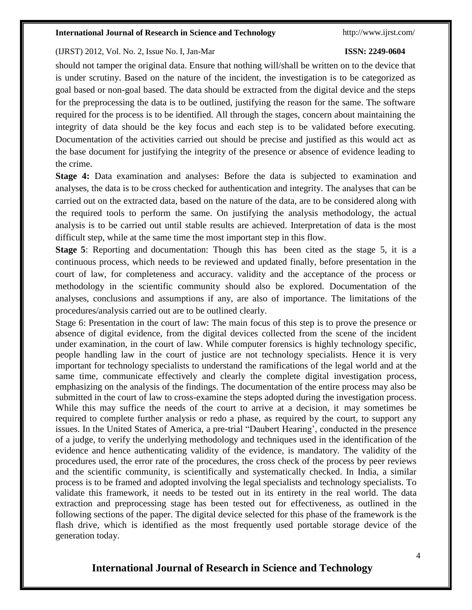#### (IJRST) 2012, Vol. No. 2, Issue No. I, Jan-Mar **ISSN: 2249-0604**

should not tamper the original data. Ensure that nothing will/shall be written on to the device that is under scrutiny. Based on the nature of the incident, the investigation is to be categorized as goal based or non-goal based. The data should be extracted from the digital device and the steps for the preprocessing the data is to be outlined, justifying the reason for the same. The software required for the process is to be identified. All through the stages, concern about maintaining the integrity of data should be the key focus and each step is to be validated before executing. Documentation of the activities carried out should be precise and justified as this would act as the base document for justifying the integrity of the presence or absence of evidence leading to the crime.

**Stage 4:** Data examination and analyses: Before the data is subjected to examination and analyses, the data is to be cross checked for authentication and integrity. The analyses that can be carried out on the extracted data, based on the nature of the data, are to be considered along with the required tools to perform the same. On justifying the analysis methodology, the actual analysis is to be carried out until stable results are achieved. Interpretation of data is the most difficult step, while at the same time the most important step in this flow.

**Stage 5**: Reporting and documentation: Though this has been cited as the stage 5, it is a continuous process, which needs to be reviewed and updated finally, before presentation in the court of law, for completeness and accuracy. validity and the acceptance of the process or methodology in the scientific community should also be explored. Documentation of the analyses, conclusions and assumptions if any, are also of importance. The limitations of the procedures/analysis carried out are to be outlined clearly.

Stage 6: Presentation in the court of law: The main focus of this step is to prove the presence or absence of digital evidence, from the digital devices collected from the scene of the incident under examination, in the court of law. While computer forensics is highly technology specific, people handling law in the court of justice are not technology specialists. Hence it is very important for technology specialists to understand the ramifications of the legal world and at the same time, communicate effectively and clearly the complete digital investigation process, emphasizing on the analysis of the findings. The documentation of the entire process may also be submitted in the court of law to cross-examine the steps adopted during the investigation process. While this may suffice the needs of the court to arrive at a decision, it may sometimes be required to complete further analysis or redo a phase, as required by the court, to support any issues. In the United States of America, a pre-trial "Daubert Hearing', conducted in the presence of a judge, to verify the underlying methodology and techniques used in the identification of the evidence and hence authenticating validity of the evidence, is mandatory. The validity of the procedures used, the error rate of the procedures, the cross check of the process by peer reviews and the scientific community, is scientifically and systematically checked. In India, a similar process is to be framed and adopted involving the legal specialists and technology specialists. To validate this framework, it needs to be tested out in its entirety in the real world. The data extraction and preprocessing stage has been tested out for effectiveness, as outlined in the following sections of the paper. The digital device selected for this phase of the framework is the flash drive, which is identified as the most frequently used portable storage device of the generation today.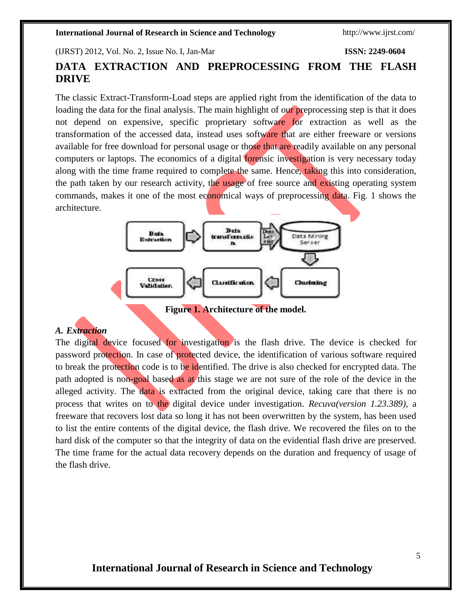## **DATA EXTRACTION AND PREPROCESSING FROM THE FLASH DRIVE**

The classic Extract-Transform-Load steps are applied right from the identification of the data to loading the data for the final analysis. The main highlight of our preprocessing step is that it does not depend on expensive, specific proprietary software for extraction as well as the transformation of the accessed data, instead uses software that are either freeware or versions available for free download for personal usage or those that are readily available on any personal computers or laptops. The economics of a digital forensic investigation is very necessary today along with the time frame required to complete the same. Hence, taking this into consideration, the path taken by our research activity, the usage of free source and existing operating system commands, makes it one of the most economical ways of preprocessing data. Fig. 1 shows the architecture.



**Figure 1. Architecture of the model.**

### *A. Extraction*

The digital device focused for investigation is the flash drive. The device is checked for password protection. In case of protected device, the identification of various software required to break the protection code is to be identified. The drive is also checked for encrypted data. The path adopted is non-goal based as at this stage we are not sure of the role of the device in the alleged activity. The data is extracted from the original device, taking care that there is no process that writes on to the digital device under investigation. *Recuva(version 1.23.389)*, a freeware that recovers lost data so long it has not been overwritten by the system, has been used to list the entire contents of the digital device, the flash drive. We recovered the files on to the hard disk of the computer so that the integrity of data on the evidential flash drive are preserved. The time frame for the actual data recovery depends on the duration and frequency of usage of the flash drive.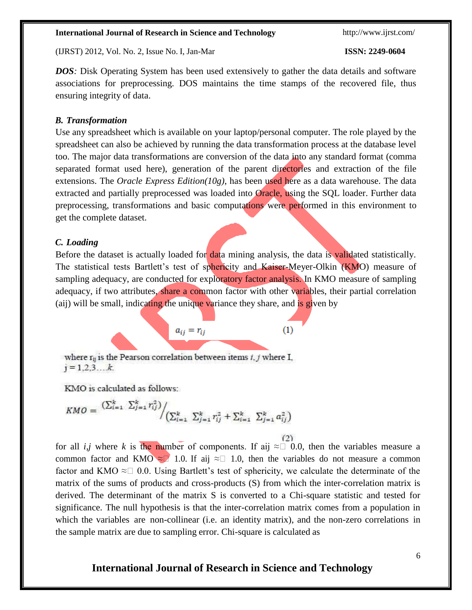*DOS*: Disk Operating System has been used extensively to gather the data details and software associations for preprocessing. DOS maintains the time stamps of the recovered file, thus ensuring integrity of data.

### *B. Transformation*

Use any spreadsheet which is available on your laptop/personal computer. The role played by the spreadsheet can also be achieved by running the data transformation process at the database level too. The major data transformations are conversion of the data into any standard format (comma separated format used here), generation of the parent directories and extraction of the file extensions. The *Oracle Express Edition(10g)*, has been used here as a data warehouse. The data extracted and partially preprocessed was loaded into **Oracle**, using the SQL loader. Further data preprocessing, transformations and basic computations were performed in this environment to get the complete dataset.

#### *C. Loading*

Before the dataset is actually loaded for data mining analysis, the data is validated statistically. The statistical tests Bartlett's test of sphericity and Kaiser-Meyer-Olkin (KMO) measure of sampling adequacy, are conducted for exploratory factor analysis. In KMO measure of sampling adequacy, if two attributes, share a common factor with other variables, their partial correlation (aij) will be small, indicating the unique variance they share, and is given by



where  $r_{ii}$  is the Pearson correlation between items  $i, j$  where I.  $i = 1, 2, 3, \ldots, k.$ 

KMO is calculated as follows:

$$
KMO = \frac{(\sum_{i=1}^{k} \sum_{j=1}^{k} r_{ij}^{2})}{(\sum_{i=1}^{k} \sum_{j=1}^{k} r_{ij}^{2} + \sum_{i=1}^{k} \sum_{j=1}^{k} a_{ij}^{2})}
$$

 $(2)$ for all *i,j* where *k* is the number of components. If aij  $\approx 0.0$ , then the variables measure a common factor and KMO  $\simeq$  1.0. If aij  $\approx$  1.0, then the variables do not measure a common factor and KMO  $\approx$  0.0. Using Bartlett's test of sphericity, we calculate the determinate of the matrix of the sums of products and cross-products (S) from which the inter-correlation matrix is derived. The determinant of the matrix S is converted to a Chi-square statistic and tested for significance. The null hypothesis is that the inter-correlation matrix comes from a population in which the variables are non-collinear (i.e. an identity matrix), and the non-zero correlations in the sample matrix are due to sampling error. Chi-square is calculated as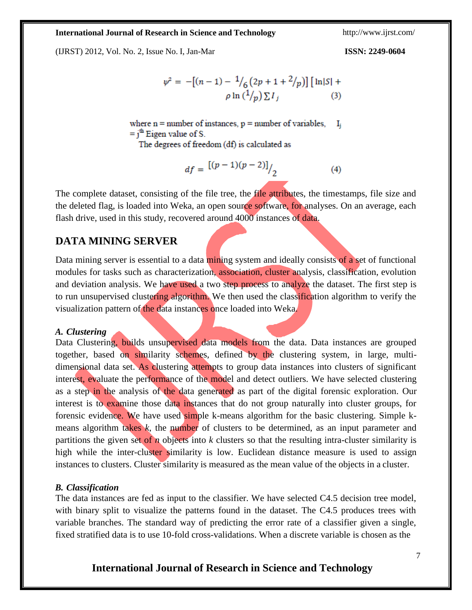(IJRST) 2012, Vol. No. 2, Issue No. I, Jan-Mar **ISSN: 2249-0604**

$$
50011.410.0501
$$

$$
f_{\rm{max}}(x)=\frac{1}{2}x
$$

$$
\psi^2 = -[(n-1) - \frac{1}{6}(2p+1+2/p)][\ln|S| +
$$
  
\n
$$
\rho \ln(\frac{1}{p}) \sum I_j
$$
 (3)

where  $n =$  number of instances,  $p =$  number of variables,  $I_i$  $=$  j<sup>th</sup> Eigen value of S.

The degrees of freedom (df) is calculated as

$$
df = \frac{[(p-1)(p-2)]}{2}
$$
 (4)

The complete dataset, consisting of the file tree, the file attributes, the timestamps, file size and the deleted flag, is loaded into Weka, an open source software, for analyses. On an average, each flash drive, used in this study, recovered around 4000 instances of data.

### **DATA MINING SERVER**

Data mining server is essential to a data mining system and ideally consists of a set of functional modules for tasks such as characterization, association, cluster analysis, classification, evolution and deviation analysis. We have used a two step process to analyze the dataset. The first step is to run unsupervised clustering algorithm. We then used the classification algorithm to verify the visualization pattern of the data instances once loaded into Weka.

#### *A. Clustering*

Data Clustering, builds unsupervised data models from the data. Data instances are grouped together, based on similarity schemes, defined by the clustering system, in large, multidimensional data set. As clustering attempts to group data instances into clusters of significant interest, evaluate the performance of the model and detect outliers. We have selected clustering as a step in the analysis of the data generated as part of the digital forensic exploration. Our interest is to examine those data instances that do not group naturally into cluster groups, for forensic evidence. We have used simple k-means algorithm for the basic clustering. Simple kmeans algorithm takes  $k$ , the number of clusters to be determined, as an input parameter and partitions the given set of *n* objects into *k* clusters so that the resulting intra-cluster similarity is high while the inter-cluster similarity is low. Euclidean distance measure is used to assign instances to clusters. Cluster similarity is measured as the mean value of the objects in a cluster.

#### *B. Classification*

The data instances are fed as input to the classifier. We have selected C4.5 decision tree model, with binary split to visualize the patterns found in the dataset. The C4.5 produces trees with variable branches. The standard way of predicting the error rate of a classifier given a single, fixed stratified data is to use 10-fold cross-validations. When a discrete variable is chosen as the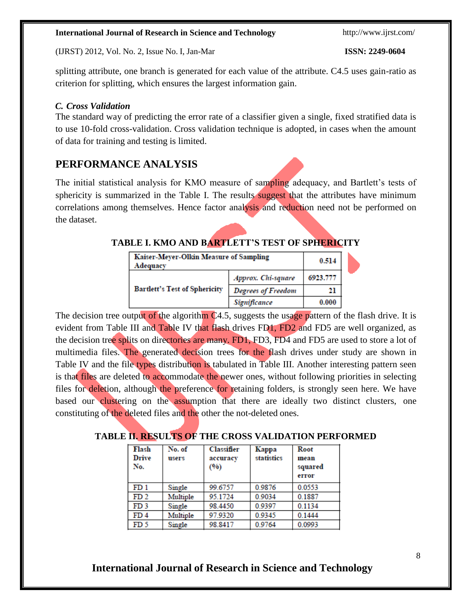(IJRST) 2012, Vol. No. 2, Issue No. I, Jan-Mar **ISSN: 2249-0604**

splitting attribute, one branch is generated for each value of the attribute. C4.5 uses gain-ratio as criterion for splitting, which ensures the largest information gain.

## *C. Cross Validation*

The standard way of predicting the error rate of a classifier given a single, fixed stratified data is to use 10-fold cross-validation. Cross validation technique is adopted, in cases when the amount of data for training and testing is limited.

## **PERFORMANCE ANALYSIS**

The initial statistical analysis for KMO measure of sampling adequacy, and Bartlett's tests of sphericity is summarized in the Table I. The results suggest that the attributes have minimum correlations among themselves. Hence factor analysis and reduction need not be performed on the dataset.

## **TABLE I. KMO AND BARTLETT'S TEST OF SPHERICITY**

| Kaiser-Meyer-Olkin Measure of Sampling<br>Adequacy | 0.514              |          |
|----------------------------------------------------|--------------------|----------|
| <b>Bartlett's Test of Sphericity</b>               | Approx. Chi-square | 6923.777 |
|                                                    | Degrees of Freedom | 21       |
|                                                    | Significance       | 0.000    |

The decision tree output of the algorithm C4.5, suggests the usage pattern of the flash drive. It is evident from Table III and Table IV that flash drives FD1, FD2 and FD5 are well organized, as the decision tree splits on directories are many. FD1, FD3, FD4 and FD5 are used to store a lot of multimedia files. The generated decision trees for the flash drives under study are shown in Table IV and the file types distribution is tabulated in Table III. Another interesting pattern seen is that files are deleted to accommodate the newer ones, without following priorities in selecting files for deletion, although the preference for retaining folders, is strongly seen here. We have based our clustering on the assumption that there are ideally two distinct clusters, one constituting of the deleted files and the other the not-deleted ones.

## **TABLE II. RESULTS OF THE CROSS VALIDATION PERFORMED**

| Flash<br><b>Drive</b><br>No. | No. of<br>users | Classifier<br>accuracy<br>(9) | Kappa<br>statistics | Root<br>mean<br>squared<br>error |
|------------------------------|-----------------|-------------------------------|---------------------|----------------------------------|
| FD <sub>1</sub>              | Single          | 99.6757                       | 0.9876              | 0.0553                           |
| FD 2                         | Multiple        | 95.1724                       | 0.9034              | 0.1887                           |
| FD <sub>3</sub>              | Single          | 98.4450                       | 0 9 3 9 7           | 0.1134                           |
| FD <sub>4</sub>              | Multiple        | 97.9320                       | 0.9345              | 0.1444                           |
| FD 5                         | Single          | 98.8417                       | 0.9764              | 0.0993                           |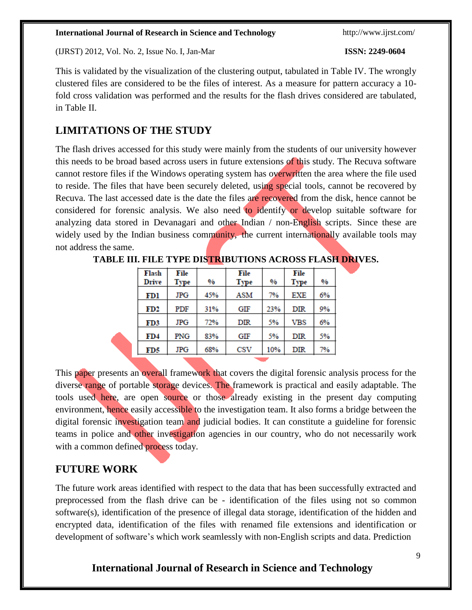(IJRST) 2012, Vol. No. 2, Issue No. I, Jan-Mar **ISSN: 2249-0604**

This is validated by the visualization of the clustering output, tabulated in Table IV. The wrongly clustered files are considered to be the files of interest. As a measure for pattern accuracy a 10 fold cross validation was performed and the results for the flash drives considered are tabulated, in Table II.

## **LIMITATIONS OF THE STUDY**

The flash drives accessed for this study were mainly from the students of our university however this needs to be broad based across users in future extensions of this study. The Recuva software cannot restore files if the Windows operating system has overwritten the area where the file used to reside. The files that have been securely deleted, using special tools, cannot be recovered by Recuva. The last accessed date is the date the files are recovered from the disk, hence cannot be considered for forensic analysis. We also need to identify or develop suitable software for analyzing data stored in Devanagari and other Indian / non-English scripts. Since these are widely used by the Indian business community, the current internationally available tools may not address the same.

|  | Flash<br>Drive | File<br>Type | $\frac{0}{0}$ | File<br>Type | $\frac{0}{0}$ | File<br>Type | $\frac{0}{0}$ |
|--|----------------|--------------|---------------|--------------|---------------|--------------|---------------|
|  | FD1            | <b>JPG</b>   | 45%           | ASM          | 7%            | <b>EXE</b>   | 6%            |
|  | FD2            | PDF          | 31%           | GIF          | 23%           | <b>DIR</b>   | 9%            |
|  | FD3            | JPG          | 72%           | DIR          | 5%            | <b>VBS</b>   | 6%            |
|  | FD4            | PNG          | 83%           | GIF          | 5%            | <b>DIR</b>   | 5%            |
|  | FD5            | JPG          | 68%           | CSV          | 10%           | DIR          | 7%            |
|  |                |              |               |              |               |              |               |

|  | <b>TABLE III. FILE TYPE DISTRIBUTIONS ACROSS FLASH DRIVES.</b> |  |
|--|----------------------------------------------------------------|--|
|  |                                                                |  |

This paper presents an overall framework that covers the digital forensic analysis process for the diverse range of portable storage devices. The framework is practical and easily adaptable. The tools used here, are open source or those already existing in the present day computing environment, hence easily accessible to the investigation team. It also forms a bridge between the digital forensic investigation team and judicial bodies. It can constitute a guideline for forensic teams in police and other investigation agencies in our country, who do not necessarily work with a common defined process today.

## **FUTURE WORK**

The future work areas identified with respect to the data that has been successfully extracted and preprocessed from the flash drive can be - identification of the files using not so common software(s), identification of the presence of illegal data storage, identification of the hidden and encrypted data, identification of the files with renamed file extensions and identification or development of software's which work seamlessly with non-English scripts and data. Prediction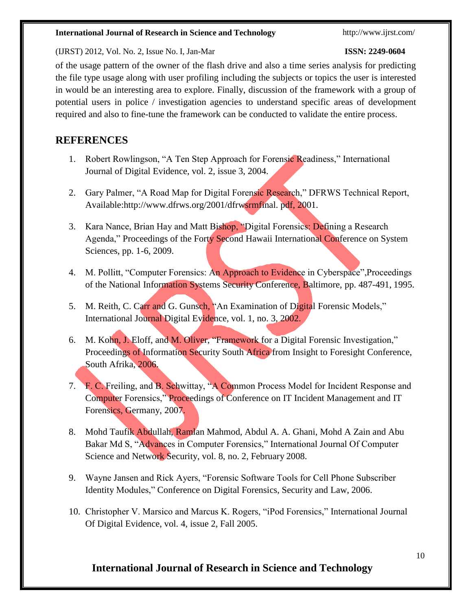#### (IJRST) 2012, Vol. No. 2, Issue No. I, Jan-Mar **ISSN: 2249-0604**

of the usage pattern of the owner of the flash drive and also a time series analysis for predicting the file type usage along with user profiling including the subjects or topics the user is interested in would be an interesting area to explore. Finally, discussion of the framework with a group of potential users in police / investigation agencies to understand specific areas of development required and also to fine-tune the framework can be conducted to validate the entire process.

## **REFERENCES**

- 1. Robert Rowlingson, "A Ten Step Approach for Forensic Readiness," International Journal of Digital Evidence, vol. 2, issue 3, 2004.
- 2. Gary Palmer, "A Road Map for Digital Forensic Research," DFRWS Technical Report, Avail[able:http](http://www.dfrws.org/2001/dfrwsrmfinal):[//www.dfrws.org/2001/dfrwsrmfinal. p](http://www.dfrws.org/2001/dfrwsrmfinal)df, 2001.
- 3. Kara Nance, Brian Hay and Matt Bishop, "Digital Forensics: Defining a Research Agenda," Proceedings of the Forty Second Hawaii International Conference on System Sciences, pp. 1-6, 2009.
- 4. M. Pollitt, "Computer Forensics: An Approach to Evidence in Cyberspace",Proceedings of the National Information Systems Security Conference, Baltimore, pp. 487-491, 1995.
- 5. M. Reith, C. Carr and G. Gunsch, "An Examination of Digital Forensic Models," International Journal Digital Evidence, vol. 1, no. 3, 2002.
- 6. M. Kohn, J. Eloff, and M. Oliver, "Framework for a Digital Forensic Investigation," Proceedings of Information Security South Africa from Insight to Foresight Conference, South Afrika, 2006.
- 7. F. C. Freiling, and B. Schwittay, "A Common Process Model for Incident Response and Computer Forensics," Proceedings of Conference on IT Incident Management and IT Forensics, Germany, 2007.
- 8. Mohd Taufik Abdullah, Ramlan Mahmod, Abdul A. A. Ghani, Mohd A Zain and Abu Bakar Md S, "Advances in Computer Forensics," International Journal Of Computer Science and Network Security, vol. 8, no. 2, February 2008.
- 9. Wayne Jansen and Rick Ayers, "Forensic Software Tools for Cell Phone Subscriber Identity Modules," Conference on Digital Forensics, Security and Law, 2006.
- 10. Christopher V. Marsico and Marcus K. Rogers, "iPod Forensics," International Journal Of Digital Evidence, vol. 4, issue 2, Fall 2005.